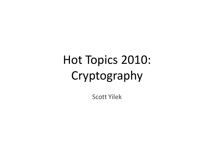# Hot Topics 2010: Cryptography

Scott Yilek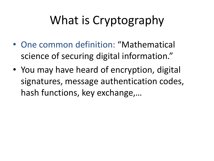- One common definition: "Mathematical science of securing digital information."
- You may have heard of encryption, digital signatures, message authentication codes, hash functions, key exchange,…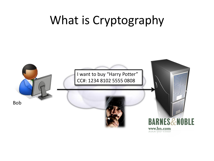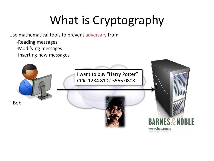Use mathematical tools to prevent adversary from

- -Reading messages
- -Modifying messages
- -Inserting new messages

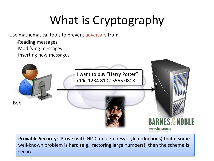Use mathematical tools to prevent adversary from

- -Reading messages
- -Modifying messages
- -Inserting new messages



**Provable Security**: Prove (with NP-Completeness style reductions) that if some well-known problem is hard (e.g., factoring large numbers), then the scheme is secure.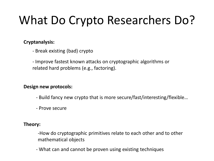# What Do Crypto Researchers Do?

#### **Cryptanalysis:**

- Break existing (bad) crypto

- Improve fastest known attacks on cryptographic algorithms or related hard problems (e.g., factoring).

#### **Design new protocols:**

- Build fancy new crypto that is more secure/fast/interesting/flexible…
- Prove secure

#### **Theory:**

-How do cryptographic primitives relate to each other and to other mathematical objects

- What can and cannot be proven using existing techniques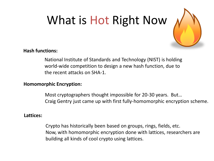# What is Hot Right Now



#### **Hash functions:**

National Institute of Standards and Technology (NIST) is holding world-wide competition to design a new hash function, due to the recent attacks on SHA-1.

#### **Homomorphic Encryption:**

Most cryptographers thought impossible for 20-30 years. But… Craig Gentry just came up with first fully-homomorphic encryption scheme.

#### **Lattices:**

Crypto has historically been based on groups, rings, fields, etc. Now, with homomorphic encryption done with lattices, researchers are building all kinds of cool crypto using lattices.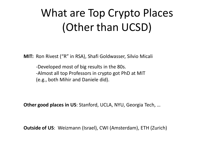## What are Top Crypto Places (Other than UCSD)

**MIT:** Ron Rivest ("R" in RSA), Shafi Goldwasser, Silvio Micali

-Developed most of big results in the 80s. -Almost all top Professors in crypto got PhD at MIT (e.g., both Mihir and Daniele did).

**Other good places in US**: Stanford, UCLA, NYU, Georgia Tech, …

**Outside of US**: Weizmann (Israel), CWI (Amsterdam), ETH (Zurich)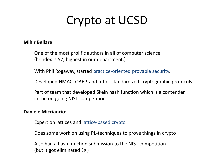## Crypto at UCSD

#### **Mihir Bellare:**

One of the most prolific authors in all of computer science. (h-index is 57, highest in our department.)

With Phil Rogaway, started practice-oriented provable security.

Developed HMAC, OAEP, and other standardized cryptographic protocols.

Part of team that developed Skein hash function which is a contender in the on-going NIST competition.

#### **Daniele Micciancio:**

Expert on lattices and lattice-based crypto

Does some work on using PL-techniques to prove things in crypto

Also had a hash function submission to the NIST competition (but it got eliminated  $\odot$ )